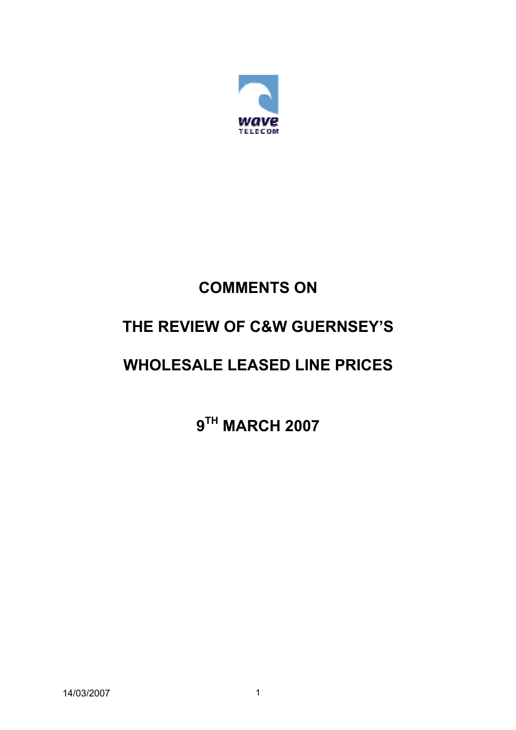

# **COMMENTS ON**

## **THE REVIEW OF C&W GUERNSEY'S**

## **WHOLESALE LEASED LINE PRICES**

**9TH MARCH 2007**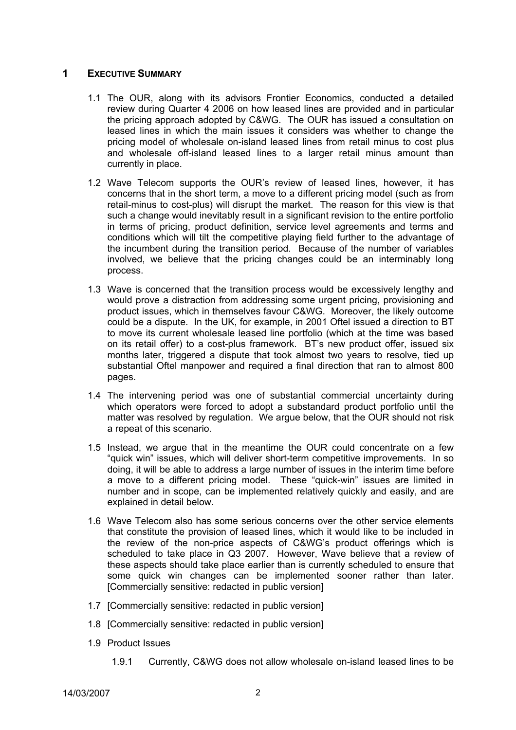## **1 EXECUTIVE SUMMARY**

- 1.1 The OUR, along with its advisors Frontier Economics, conducted a detailed review during Quarter 4 2006 on how leased lines are provided and in particular the pricing approach adopted by C&WG. The OUR has issued a consultation on leased lines in which the main issues it considers was whether to change the pricing model of wholesale on-island leased lines from retail minus to cost plus and wholesale off-island leased lines to a larger retail minus amount than currently in place.
- 1.2 Wave Telecom supports the OUR's review of leased lines, however, it has concerns that in the short term, a move to a different pricing model (such as from retail-minus to cost-plus) will disrupt the market. The reason for this view is that such a change would inevitably result in a significant revision to the entire portfolio in terms of pricing, product definition, service level agreements and terms and conditions which will tilt the competitive playing field further to the advantage of the incumbent during the transition period. Because of the number of variables involved, we believe that the pricing changes could be an interminably long process.
- 1.3 Wave is concerned that the transition process would be excessively lengthy and would prove a distraction from addressing some urgent pricing, provisioning and product issues, which in themselves favour C&WG. Moreover, the likely outcome could be a dispute. In the UK, for example, in 2001 Oftel issued a direction to BT to move its current wholesale leased line portfolio (which at the time was based on its retail offer) to a cost-plus framework. BT's new product offer, issued six months later, triggered a dispute that took almost two years to resolve, tied up substantial Oftel manpower and required a final direction that ran to almost 800 pages.
- 1.4 The intervening period was one of substantial commercial uncertainty during which operators were forced to adopt a substandard product portfolio until the matter was resolved by regulation. We argue below, that the OUR should not risk a repeat of this scenario.
- 1.5 Instead, we argue that in the meantime the OUR could concentrate on a few "quick win" issues, which will deliver short-term competitive improvements. In so doing, it will be able to address a large number of issues in the interim time before a move to a different pricing model. These "quick-win" issues are limited in number and in scope, can be implemented relatively quickly and easily, and are explained in detail below.
- 1.6 Wave Telecom also has some serious concerns over the other service elements that constitute the provision of leased lines, which it would like to be included in the review of the non-price aspects of C&WG's product offerings which is scheduled to take place in Q3 2007. However, Wave believe that a review of these aspects should take place earlier than is currently scheduled to ensure that some quick win changes can be implemented sooner rather than later. [Commercially sensitive: redacted in public version]
- 1.7 [Commercially sensitive: redacted in public version]
- 1.8 [Commercially sensitive: redacted in public version]
- 1.9 Product Issues
	- 1.9.1 Currently, C&WG does not allow wholesale on-island leased lines to be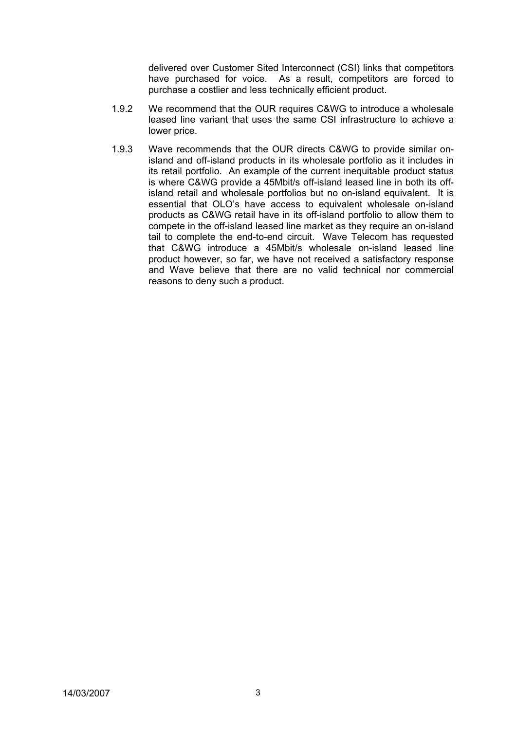delivered over Customer Sited Interconnect (CSI) links that competitors have purchased for voice. As a result, competitors are forced to purchase a costlier and less technically efficient product.

- 1.9.2 We recommend that the OUR requires C&WG to introduce a wholesale leased line variant that uses the same CSI infrastructure to achieve a lower price.
- 1.9.3 Wave recommends that the OUR directs C&WG to provide similar onisland and off-island products in its wholesale portfolio as it includes in its retail portfolio. An example of the current inequitable product status is where C&WG provide a 45Mbit/s off-island leased line in both its offisland retail and wholesale portfolios but no on-island equivalent. It is essential that OLO's have access to equivalent wholesale on-island products as C&WG retail have in its off-island portfolio to allow them to compete in the off-island leased line market as they require an on-island tail to complete the end-to-end circuit. Wave Telecom has requested that C&WG introduce a 45Mbit/s wholesale on-island leased line product however, so far, we have not received a satisfactory response and Wave believe that there are no valid technical nor commercial reasons to deny such a product.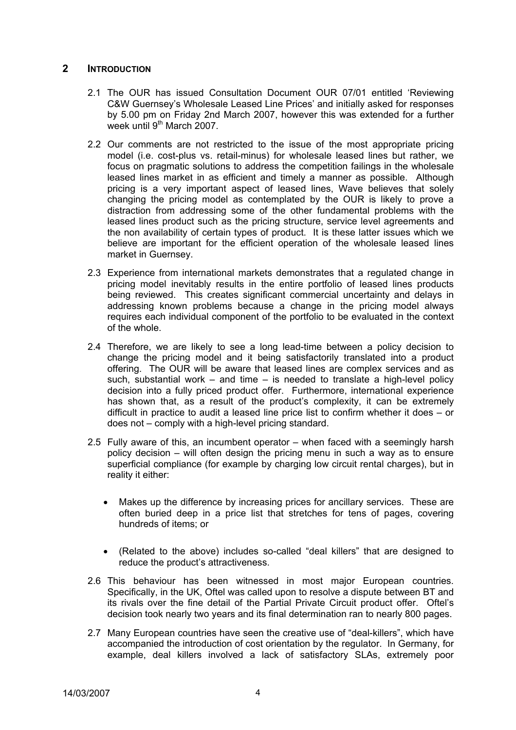## **2 INTRODUCTION**

- 2.1 The OUR has issued Consultation Document OUR 07/01 entitled 'Reviewing C&W Guernsey's Wholesale Leased Line Prices' and initially asked for responses by 5.00 pm on Friday 2nd March 2007, however this was extended for a further week until 9<sup>th</sup> March 2007.
- 2.2 Our comments are not restricted to the issue of the most appropriate pricing model (i.e. cost-plus vs. retail-minus) for wholesale leased lines but rather, we focus on pragmatic solutions to address the competition failings in the wholesale leased lines market in as efficient and timely a manner as possible. Although pricing is a very important aspect of leased lines, Wave believes that solely changing the pricing model as contemplated by the OUR is likely to prove a distraction from addressing some of the other fundamental problems with the leased lines product such as the pricing structure, service level agreements and the non availability of certain types of product. It is these latter issues which we believe are important for the efficient operation of the wholesale leased lines market in Guernsey.
- 2.3 Experience from international markets demonstrates that a regulated change in pricing model inevitably results in the entire portfolio of leased lines products being reviewed. This creates significant commercial uncertainty and delays in addressing known problems because a change in the pricing model always requires each individual component of the portfolio to be evaluated in the context of the whole.
- 2.4 Therefore, we are likely to see a long lead-time between a policy decision to change the pricing model and it being satisfactorily translated into a product offering. The OUR will be aware that leased lines are complex services and as such, substantial work – and time – is needed to translate a high-level policy decision into a fully priced product offer. Furthermore, international experience has shown that, as a result of the product's complexity, it can be extremely difficult in practice to audit a leased line price list to confirm whether it does – or does not – comply with a high-level pricing standard.
- 2.5 Fully aware of this, an incumbent operator when faced with a seemingly harsh policy decision – will often design the pricing menu in such a way as to ensure superficial compliance (for example by charging low circuit rental charges), but in reality it either:
	- Makes up the difference by increasing prices for ancillary services. These are often buried deep in a price list that stretches for tens of pages, covering hundreds of items; or
	- (Related to the above) includes so-called "deal killers" that are designed to reduce the product's attractiveness.
- 2.6 This behaviour has been witnessed in most major European countries. Specifically, in the UK, Oftel was called upon to resolve a dispute between BT and its rivals over the fine detail of the Partial Private Circuit product offer. Oftel's decision took nearly two years and its final determination ran to nearly 800 pages.
- 2.7 Many European countries have seen the creative use of "deal-killers", which have accompanied the introduction of cost orientation by the regulator. In Germany, for example, deal killers involved a lack of satisfactory SLAs, extremely poor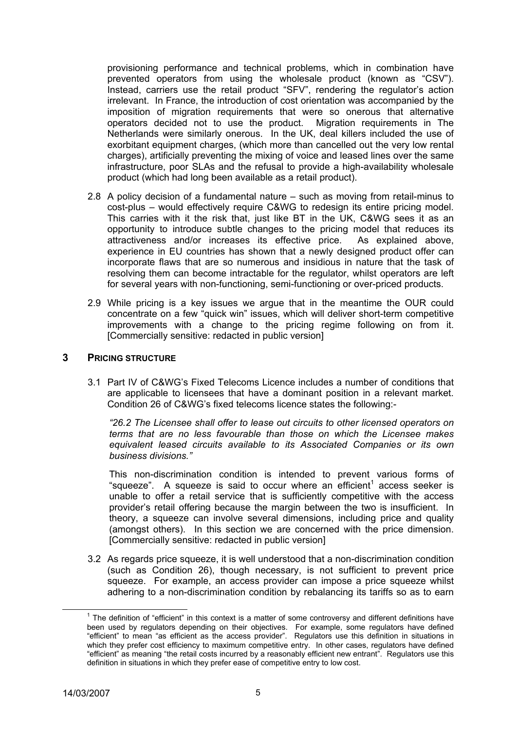provisioning performance and technical problems, which in combination have prevented operators from using the wholesale product (known as "CSV"). Instead, carriers use the retail product "SFV", rendering the regulator's action irrelevant. In France, the introduction of cost orientation was accompanied by the imposition of migration requirements that were so onerous that alternative operators decided not to use the product. Migration requirements in The Netherlands were similarly onerous. In the UK, deal killers included the use of exorbitant equipment charges, (which more than cancelled out the very low rental charges), artificially preventing the mixing of voice and leased lines over the same infrastructure, poor SLAs and the refusal to provide a high-availability wholesale product (which had long been available as a retail product).

- 2.8 A policy decision of a fundamental nature such as moving from retail-minus to cost-plus – would effectively require C&WG to redesign its entire pricing model. This carries with it the risk that, just like BT in the UK, C&WG sees it as an opportunity to introduce subtle changes to the pricing model that reduces its attractiveness and/or increases its effective price. As explained above, experience in EU countries has shown that a newly designed product offer can incorporate flaws that are so numerous and insidious in nature that the task of resolving them can become intractable for the regulator, whilst operators are left for several years with non-functioning, semi-functioning or over-priced products.
- 2.9 While pricing is a key issues we argue that in the meantime the OUR could concentrate on a few "quick win" issues, which will deliver short-term competitive improvements with a change to the pricing regime following on from it. [Commercially sensitive: redacted in public version]

## **3 PRICING STRUCTURE**

3.1 Part IV of C&WG's Fixed Telecoms Licence includes a number of conditions that are applicable to licensees that have a dominant position in a relevant market. Condition 26 of C&WG's fixed telecoms licence states the following:-

*"26.2 The Licensee shall offer to lease out circuits to other licensed operators on terms that are no less favourable than those on which the Licensee makes equivalent leased circuits available to its Associated Companies or its own business divisions."*

This non-discrimination condition is intended to prevent various forms of "squeeze". A squeeze is said to occur where an efficient<sup>[1](#page-4-0)</sup> access seeker is unable to offer a retail service that is sufficiently competitive with the access provider's retail offering because the margin between the two is insufficient. In theory, a squeeze can involve several dimensions, including price and quality (amongst others). In this section we are concerned with the price dimension. [Commercially sensitive: redacted in public version]

3.2 As regards price squeeze, it is well understood that a non-discrimination condition (such as Condition 26), though necessary, is not sufficient to prevent price squeeze. For example, an access provider can impose a price squeeze whilst adhering to a non-discrimination condition by rebalancing its tariffs so as to earn

<span id="page-4-0"></span> $\overline{\phantom{a}}$  $1$  The definition of "efficient" in this context is a matter of some controversy and different definitions have been used by regulators depending on their objectives. For example, some regulators have defined "efficient" to mean "as efficient as the access provider". Regulators use this definition in situations in which they prefer cost efficiency to maximum competitive entry. In other cases, regulators have defined "efficient" as meaning "the retail costs incurred by a reasonably efficient new entrant". Regulators use this definition in situations in which they prefer ease of competitive entry to low cost.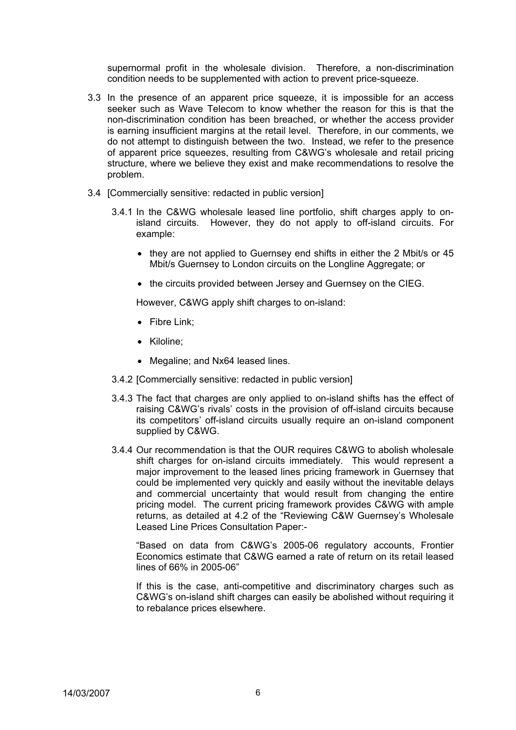supernormal profit in the wholesale division. Therefore, a non-discrimination condition needs to be supplemented with action to prevent price-squeeze.

- 3.3 In the presence of an apparent price squeeze, it is impossible for an access seeker such as Wave Telecom to know whether the reason for this is that the non-discrimination condition has been breached, or whether the access provider is earning insufficient margins at the retail level. Therefore, in our comments, we do not attempt to distinguish between the two. Instead, we refer to the presence of apparent price squeezes, resulting from C&WG's wholesale and retail pricing structure, where we believe they exist and make recommendations to resolve the problem.
- 3.4 [Commercially sensitive: redacted in public version]
	- 3.4.1 In the C&WG wholesale leased line portfolio, shift charges apply to onisland circuits. However, they do not apply to off-island circuits. For example:
		- they are not applied to Guernsey end shifts in either the 2 Mbit/s or 45 Mbit/s Guernsey to London circuits on the Longline Aggregate; or
		- the circuits provided between Jersey and Guernsey on the CIEG.

However, C&WG apply shift charges to on-island:

- Fibre Link;
- Kiloline;
- Megaline; and Nx64 leased lines.
- 3.4.2 [Commercially sensitive: redacted in public version]
- 3.4.3 The fact that charges are only applied to on-island shifts has the effect of raising C&WG's rivals' costs in the provision of off-island circuits because its competitors' off-island circuits usually require an on-island component supplied by C&WG.
- 3.4.4 Our recommendation is that the OUR requires C&WG to abolish wholesale shift charges for on-island circuits immediately. This would represent a major improvement to the leased lines pricing framework in Guernsey that could be implemented very quickly and easily without the inevitable delays and commercial uncertainty that would result from changing the entire pricing model. The current pricing framework provides C&WG with ample returns, as detailed at 4.2 of the "Reviewing C&W Guernsey's Wholesale Leased Line Prices Consultation Paper:-

"Based on data from C&WG's 2005-06 regulatory accounts, Frontier Economics estimate that C&WG earned a rate of return on its retail leased lines of 66% in 2005-06"

If this is the case, anti-competitive and discriminatory charges such as C&WG's on-island shift charges can easily be abolished without requiring it to rebalance prices elsewhere.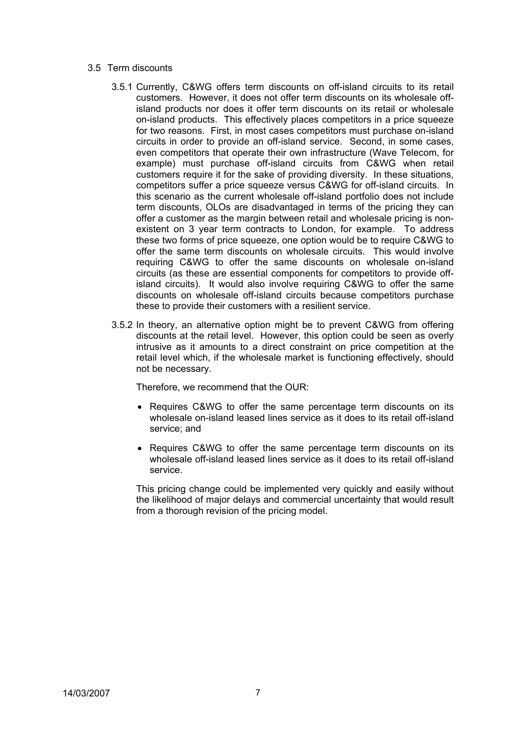- 3.5 Term discounts
	- 3.5.1 Currently, C&WG offers term discounts on off-island circuits to its retail customers. However, it does not offer term discounts on its wholesale offisland products nor does it offer term discounts on its retail or wholesale on-island products. This effectively places competitors in a price squeeze for two reasons. First, in most cases competitors must purchase on-island circuits in order to provide an off-island service. Second, in some cases, even competitors that operate their own infrastructure (Wave Telecom, for example) must purchase off-island circuits from C&WG when retail customers require it for the sake of providing diversity. In these situations, competitors suffer a price squeeze versus C&WG for off-island circuits. In this scenario as the current wholesale off-island portfolio does not include term discounts, OLOs are disadvantaged in terms of the pricing they can offer a customer as the margin between retail and wholesale pricing is nonexistent on 3 year term contracts to London, for example. To address these two forms of price squeeze, one option would be to require C&WG to offer the same term discounts on wholesale circuits. This would involve requiring C&WG to offer the same discounts on wholesale on-island circuits (as these are essential components for competitors to provide offisland circuits). It would also involve requiring C&WG to offer the same discounts on wholesale off-island circuits because competitors purchase these to provide their customers with a resilient service.
	- 3.5.2 In theory, an alternative option might be to prevent C&WG from offering discounts at the retail level. However, this option could be seen as overly intrusive as it amounts to a direct constraint on price competition at the retail level which, if the wholesale market is functioning effectively, should not be necessary.

Therefore, we recommend that the OUR:

- Requires C&WG to offer the same percentage term discounts on its wholesale on-island leased lines service as it does to its retail off-island service; and
- Requires C&WG to offer the same percentage term discounts on its wholesale off-island leased lines service as it does to its retail off-island service.

This pricing change could be implemented very quickly and easily without the likelihood of major delays and commercial uncertainty that would result from a thorough revision of the pricing model.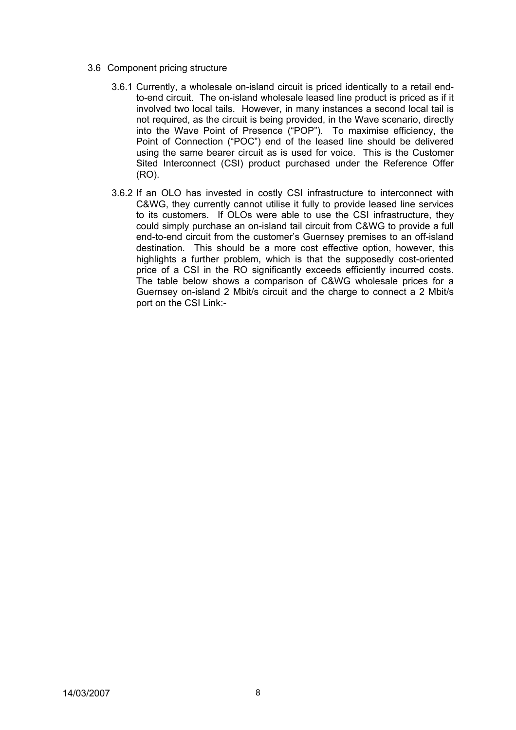- 3.6 Component pricing structure
	- 3.6.1 Currently, a wholesale on-island circuit is priced identically to a retail endto-end circuit. The on-island wholesale leased line product is priced as if it involved two local tails. However, in many instances a second local tail is not required, as the circuit is being provided, in the Wave scenario, directly into the Wave Point of Presence ("POP"). To maximise efficiency, the Point of Connection ("POC") end of the leased line should be delivered using the same bearer circuit as is used for voice. This is the Customer Sited Interconnect (CSI) product purchased under the Reference Offer (RO).
	- 3.6.2 If an OLO has invested in costly CSI infrastructure to interconnect with C&WG, they currently cannot utilise it fully to provide leased line services to its customers. If OLOs were able to use the CSI infrastructure, they could simply purchase an on-island tail circuit from C&WG to provide a full end-to-end circuit from the customer's Guernsey premises to an off-island destination. This should be a more cost effective option, however, this highlights a further problem, which is that the supposedly cost-oriented price of a CSI in the RO significantly exceeds efficiently incurred costs. The table below shows a comparison of C&WG wholesale prices for a Guernsey on-island 2 Mbit/s circuit and the charge to connect a 2 Mbit/s port on the CSI Link:-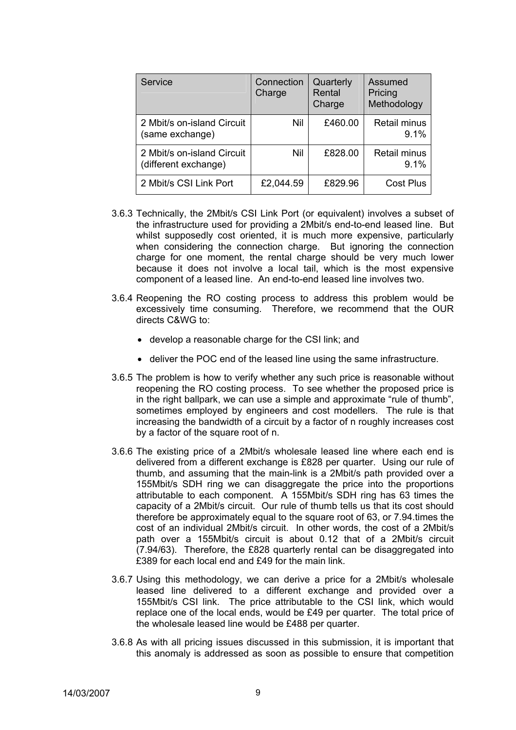| Service                                            | Connection<br>Charge | Quarterly<br>Rental<br>Charge | Assumed<br>Pricing<br>Methodology |
|----------------------------------------------------|----------------------|-------------------------------|-----------------------------------|
| 2 Mbit/s on-island Circuit<br>(same exchange)      | Nil                  | £460.00                       | Retail minus<br>9.1%              |
| 2 Mbit/s on-island Circuit<br>(different exchange) | Nil                  | £828.00                       | <b>Retail minus</b><br>9.1%       |
| 2 Mbit/s CSI Link Port                             | £2,044.59            | £829.96                       | <b>Cost Plus</b>                  |

- 3.6.3 Technically, the 2Mbit/s CSI Link Port (or equivalent) involves a subset of the infrastructure used for providing a 2Mbit/s end-to-end leased line. But whilst supposedly cost oriented, it is much more expensive, particularly when considering the connection charge. But ignoring the connection charge for one moment, the rental charge should be very much lower because it does not involve a local tail, which is the most expensive component of a leased line. An end-to-end leased line involves two.
- 3.6.4 Reopening the RO costing process to address this problem would be excessively time consuming. Therefore, we recommend that the OUR directs C&WG to:
	- develop a reasonable charge for the CSI link; and
	- deliver the POC end of the leased line using the same infrastructure.
- 3.6.5 The problem is how to verify whether any such price is reasonable without reopening the RO costing process. To see whether the proposed price is in the right ballpark, we can use a simple and approximate "rule of thumb", sometimes employed by engineers and cost modellers. The rule is that increasing the bandwidth of a circuit by a factor of n roughly increases cost by a factor of the square root of n.
- 3.6.6 The existing price of a 2Mbit/s wholesale leased line where each end is delivered from a different exchange is £828 per quarter. Using our rule of thumb, and assuming that the main-link is a 2Mbit/s path provided over a 155Mbit/s SDH ring we can disaggregate the price into the proportions attributable to each component. A 155Mbit/s SDH ring has 63 times the capacity of a 2Mbit/s circuit. Our rule of thumb tells us that its cost should therefore be approximately equal to the square root of 63, or 7.94.times the cost of an individual 2Mbit/s circuit. In other words, the cost of a 2Mbit/s path over a 155Mbit/s circuit is about 0.12 that of a 2Mbit/s circuit (7.94/63). Therefore, the £828 quarterly rental can be disaggregated into £389 for each local end and £49 for the main link.
- 3.6.7 Using this methodology, we can derive a price for a 2Mbit/s wholesale leased line delivered to a different exchange and provided over a 155Mbit/s CSI link. The price attributable to the CSI link, which would replace one of the local ends, would be £49 per quarter. The total price of the wholesale leased line would be £488 per quarter.
- 3.6.8 As with all pricing issues discussed in this submission, it is important that this anomaly is addressed as soon as possible to ensure that competition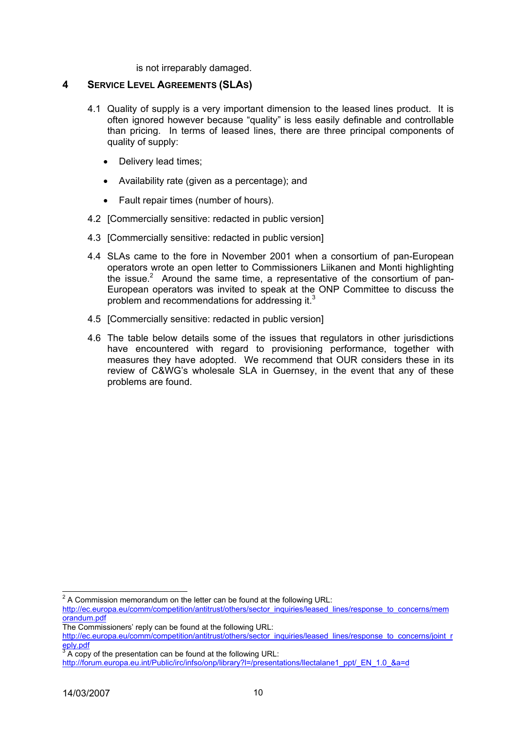is not irreparably damaged.

## **4 SERVICE LEVEL AGREEMENTS (SLAS)**

- 4.1 Quality of supply is a very important dimension to the leased lines product. It is often ignored however because "quality" is less easily definable and controllable than pricing. In terms of leased lines, there are three principal components of quality of supply:
	- Delivery lead times:
	- Availability rate (given as a percentage); and
	- Fault repair times (number of hours).
- 4.2 [Commercially sensitive: redacted in public version]
- 4.3 [Commercially sensitive: redacted in public version]
- 4.4 SLAs came to the fore in November 2001 when a consortium of pan-European operators wrote an open letter to Commissioners Liikanen and Monti highlighting the issue. $2$  Around the same time, a representative of the consortium of pan-European operators was invited to speak at the ONP Committee to discuss the problem and recommendations for addressing it.<sup>[3](#page-9-1)</sup>
- 4.5 [Commercially sensitive: redacted in public version]
- 4.6 The table below details some of the issues that regulators in other jurisdictions have encountered with regard to provisioning performance, together with measures they have adopted. We recommend that OUR considers these in its review of C&WG's wholesale SLA in Guernsey, in the event that any of these problems are found.

**EXECTED THE EXECTED FOR THE EXECTED**<br><sup>2</sup> A Commission memorandum on the letter can be found at the following URL:

<span id="page-9-0"></span>[http://ec.europa.eu/comm/competition/antitrust/others/sector\\_inquiries/leased\\_lines/response\\_to\\_concerns/mem](http://ec.europa.eu/comm/competition/antitrust/others/sector_inquiries/leased_lines/response_to_concerns/memorandum.pdf) [orandum.pdf](http://ec.europa.eu/comm/competition/antitrust/others/sector_inquiries/leased_lines/response_to_concerns/memorandum.pdf)

The Commissioners' reply can be found at the following URL:

[http://ec.europa.eu/comm/competition/antitrust/others/sector\\_inquiries/leased\\_lines/response\\_to\\_concerns/joint\\_r](http://ec.europa.eu/comm/competition/antitrust/others/sector_inquiries/leased_lines/response_to_concerns/joint_reply.pdf) [eply.pdf](http://ec.europa.eu/comm/competition/antitrust/others/sector_inquiries/leased_lines/response_to_concerns/joint_reply.pdf)<br><sup>[3](http://ec.europa.eu/comm/competition/antitrust/others/sector_inquiries/leased_lines/response_to_concerns/joint_reply.pdf)</sup> A copy of the presentation can be found at the following URL:

<span id="page-9-1"></span>

[http://forum.europa.eu.int/Public/irc/infso/onp/library?l=/presentations/llectalane1\\_ppt/\\_EN\\_1.0\\_&a=d](http://forum.europa.eu.int/Public/irc/infso/onp/library?l=/presentations/llectalane1_ppt/_EN_1.0_&a=d)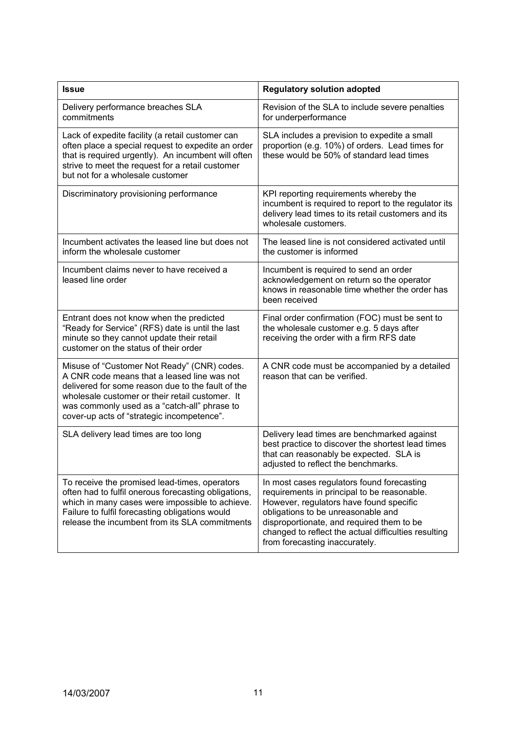| <b>Issue</b>                                                                                                                                                                                                                                                                                     | <b>Regulatory solution adopted</b>                                                                                                                                                                                                                                                                                |  |
|--------------------------------------------------------------------------------------------------------------------------------------------------------------------------------------------------------------------------------------------------------------------------------------------------|-------------------------------------------------------------------------------------------------------------------------------------------------------------------------------------------------------------------------------------------------------------------------------------------------------------------|--|
| Delivery performance breaches SLA<br>commitments                                                                                                                                                                                                                                                 | Revision of the SLA to include severe penalties<br>for underperformance                                                                                                                                                                                                                                           |  |
| Lack of expedite facility (a retail customer can<br>often place a special request to expedite an order<br>that is required urgently). An incumbent will often<br>strive to meet the request for a retail customer<br>but not for a wholesale customer                                            | SLA includes a prevision to expedite a small<br>proportion (e.g. 10%) of orders. Lead times for<br>these would be 50% of standard lead times                                                                                                                                                                      |  |
| Discriminatory provisioning performance                                                                                                                                                                                                                                                          | KPI reporting requirements whereby the<br>incumbent is required to report to the regulator its<br>delivery lead times to its retail customers and its<br>wholesale customers.                                                                                                                                     |  |
| Incumbent activates the leased line but does not<br>inform the wholesale customer                                                                                                                                                                                                                | The leased line is not considered activated until<br>the customer is informed                                                                                                                                                                                                                                     |  |
| Incumbent claims never to have received a<br>leased line order                                                                                                                                                                                                                                   | Incumbent is required to send an order<br>acknowledgement on return so the operator<br>knows in reasonable time whether the order has<br>been received                                                                                                                                                            |  |
| Entrant does not know when the predicted<br>"Ready for Service" (RFS) date is until the last<br>minute so they cannot update their retail<br>customer on the status of their order                                                                                                               | Final order confirmation (FOC) must be sent to<br>the wholesale customer e.g. 5 days after<br>receiving the order with a firm RFS date                                                                                                                                                                            |  |
| Misuse of "Customer Not Ready" (CNR) codes.<br>A CNR code means that a leased line was not<br>delivered for some reason due to the fault of the<br>wholesale customer or their retail customer. It<br>was commonly used as a "catch-all" phrase to<br>cover-up acts of "strategic incompetence". | A CNR code must be accompanied by a detailed<br>reason that can be verified.                                                                                                                                                                                                                                      |  |
| SLA delivery lead times are too long                                                                                                                                                                                                                                                             | Delivery lead times are benchmarked against<br>best practice to discover the shortest lead times<br>that can reasonably be expected. SLA is<br>adjusted to reflect the benchmarks.                                                                                                                                |  |
| To receive the promised lead-times, operators<br>often had to fulfil onerous forecasting obligations,<br>which in many cases were impossible to achieve.<br>Failure to fulfil forecasting obligations would<br>release the incumbent from its SLA commitments                                    | In most cases regulators found forecasting<br>requirements in principal to be reasonable.<br>However, regulators have found specific<br>obligations to be unreasonable and<br>disproportionate, and required them to be<br>changed to reflect the actual difficulties resulting<br>from forecasting inaccurately. |  |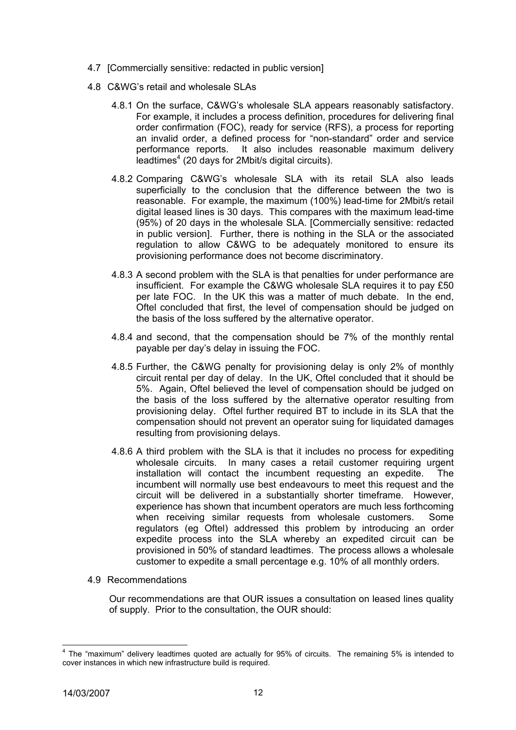- 4.7 [Commercially sensitive: redacted in public version]
- 4.8 C&WG's retail and wholesale SLAs
	- 4.8.1 On the surface, C&WG's wholesale SLA appears reasonably satisfactory. For example, it includes a process definition, procedures for delivering final order confirmation (FOC), ready for service (RFS), a process for reporting an invalid order, a defined process for "non-standard" order and service performance reports. It also includes reasonable maximum delivery  $leq<sup>4</sup>$  $leq<sup>4</sup>$  $leq<sup>4</sup>$  (20 days for 2Mbit/s digital circuits).
	- 4.8.2 Comparing C&WG's wholesale SLA with its retail SLA also leads superficially to the conclusion that the difference between the two is reasonable. For example, the maximum (100%) lead-time for 2Mbit/s retail digital leased lines is 30 days. This compares with the maximum lead-time (95%) of 20 days in the wholesale SLA. [Commercially sensitive: redacted in public version]. Further, there is nothing in the SLA or the associated regulation to allow C&WG to be adequately monitored to ensure its provisioning performance does not become discriminatory.
	- 4.8.3 A second problem with the SLA is that penalties for under performance are insufficient. For example the C&WG wholesale SLA requires it to pay £50 per late FOC. In the UK this was a matter of much debate. In the end, Oftel concluded that first, the level of compensation should be judged on the basis of the loss suffered by the alternative operator.
	- 4.8.4 and second, that the compensation should be 7% of the monthly rental payable per day's delay in issuing the FOC.
	- 4.8.5 Further, the C&WG penalty for provisioning delay is only 2% of monthly circuit rental per day of delay. In the UK, Oftel concluded that it should be 5%. Again, Oftel believed the level of compensation should be judged on the basis of the loss suffered by the alternative operator resulting from provisioning delay. Oftel further required BT to include in its SLA that the compensation should not prevent an operator suing for liquidated damages resulting from provisioning delays.
	- 4.8.6 A third problem with the SLA is that it includes no process for expediting wholesale circuits. In many cases a retail customer requiring urgent installation will contact the incumbent requesting an expedite. The incumbent will normally use best endeavours to meet this request and the circuit will be delivered in a substantially shorter timeframe. However, experience has shown that incumbent operators are much less forthcoming when receiving similar requests from wholesale customers. Some regulators (eg Oftel) addressed this problem by introducing an order expedite process into the SLA whereby an expedited circuit can be provisioned in 50% of standard leadtimes. The process allows a wholesale customer to expedite a small percentage e.g. 10% of all monthly orders.
- 4.9 Recommendations

Our recommendations are that OUR issues a consultation on leased lines quality of supply. Prior to the consultation, the OUR should:

<span id="page-11-0"></span> <sup>4</sup> The "maximum" delivery leadtimes quoted are actually for 95% of circuits. The remaining 5% is intended to cover instances in which new infrastructure build is required.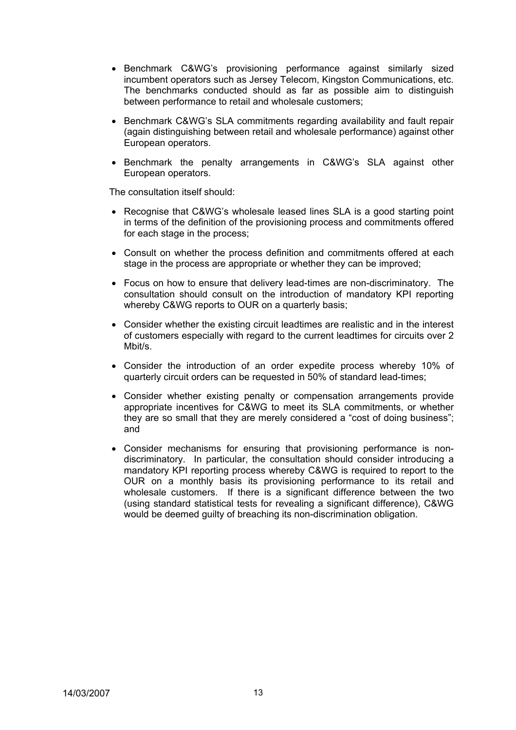- Benchmark C&WG's provisioning performance against similarly sized incumbent operators such as Jersey Telecom, Kingston Communications, etc. The benchmarks conducted should as far as possible aim to distinguish between performance to retail and wholesale customers;
- Benchmark C&WG's SLA commitments regarding availability and fault repair (again distinguishing between retail and wholesale performance) against other European operators.
- Benchmark the penalty arrangements in C&WG's SLA against other European operators.

The consultation itself should:

- Recognise that C&WG's wholesale leased lines SLA is a good starting point in terms of the definition of the provisioning process and commitments offered for each stage in the process;
- Consult on whether the process definition and commitments offered at each stage in the process are appropriate or whether they can be improved;
- Focus on how to ensure that delivery lead-times are non-discriminatory. The consultation should consult on the introduction of mandatory KPI reporting whereby C&WG reports to OUR on a quarterly basis;
- Consider whether the existing circuit leadtimes are realistic and in the interest of customers especially with regard to the current leadtimes for circuits over 2 Mbit/s.
- Consider the introduction of an order expedite process whereby 10% of quarterly circuit orders can be requested in 50% of standard lead-times;
- Consider whether existing penalty or compensation arrangements provide appropriate incentives for C&WG to meet its SLA commitments, or whether they are so small that they are merely considered a "cost of doing business"; and
- Consider mechanisms for ensuring that provisioning performance is nondiscriminatory. In particular, the consultation should consider introducing a mandatory KPI reporting process whereby C&WG is required to report to the OUR on a monthly basis its provisioning performance to its retail and wholesale customers. If there is a significant difference between the two (using standard statistical tests for revealing a significant difference), C&WG would be deemed guilty of breaching its non-discrimination obligation.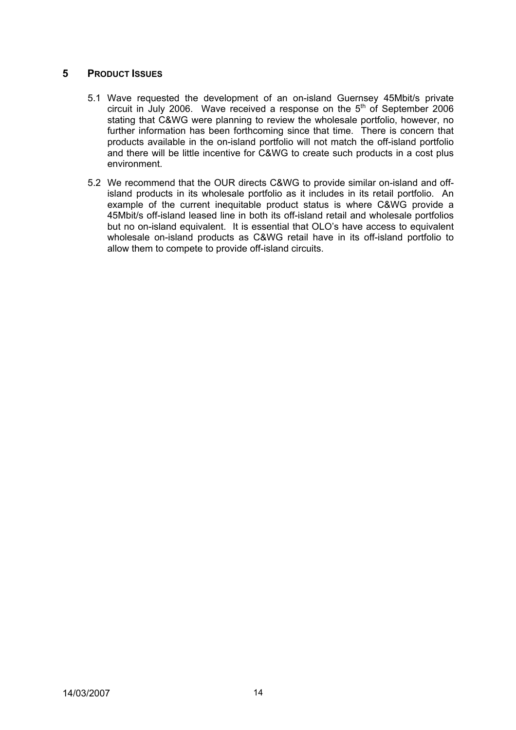## **5 PRODUCT ISSUES**

- 5.1 Wave requested the development of an on-island Guernsey 45Mbit/s private circuit in July 2006. Wave received a response on the  $5<sup>th</sup>$  of September 2006 stating that C&WG were planning to review the wholesale portfolio, however, no further information has been forthcoming since that time. There is concern that products available in the on-island portfolio will not match the off-island portfolio and there will be little incentive for C&WG to create such products in a cost plus environment.
- 5.2 We recommend that the OUR directs C&WG to provide similar on-island and offisland products in its wholesale portfolio as it includes in its retail portfolio. An example of the current inequitable product status is where C&WG provide a 45Mbit/s off-island leased line in both its off-island retail and wholesale portfolios but no on-island equivalent. It is essential that OLO's have access to equivalent wholesale on-island products as C&WG retail have in its off-island portfolio to allow them to compete to provide off-island circuits.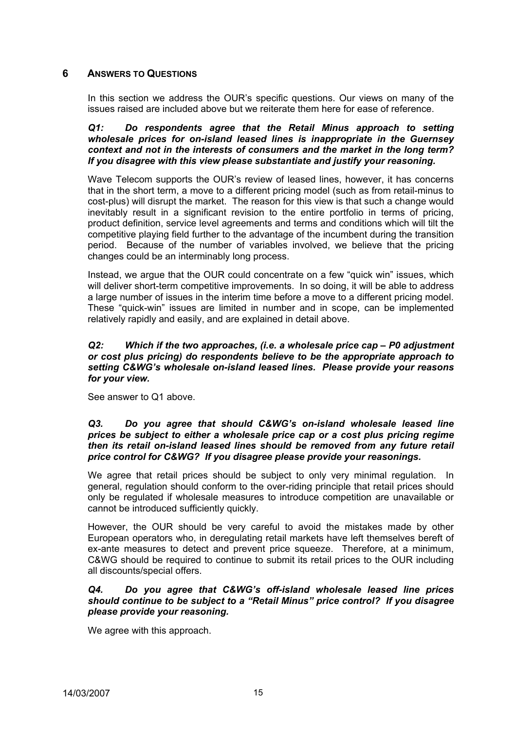## **6 ANSWERS TO QUESTIONS**

In this section we address the OUR's specific questions. Our views on many of the issues raised are included above but we reiterate them here for ease of reference.

## *Q1: Do respondents agree that the Retail Minus approach to setting wholesale prices for on-island leased lines is inappropriate in the Guernsey context and not in the interests of consumers and the market in the long term? If you disagree with this view please substantiate and justify your reasoning.*

Wave Telecom supports the OUR's review of leased lines, however, it has concerns that in the short term, a move to a different pricing model (such as from retail-minus to cost-plus) will disrupt the market. The reason for this view is that such a change would inevitably result in a significant revision to the entire portfolio in terms of pricing, product definition, service level agreements and terms and conditions which will tilt the competitive playing field further to the advantage of the incumbent during the transition period. Because of the number of variables involved, we believe that the pricing changes could be an interminably long process.

Instead, we argue that the OUR could concentrate on a few "quick win" issues, which will deliver short-term competitive improvements. In so doing, it will be able to address a large number of issues in the interim time before a move to a different pricing model. These "quick-win" issues are limited in number and in scope, can be implemented relatively rapidly and easily, and are explained in detail above.

## *Q2: Which if the two approaches, (i.e. a wholesale price cap – P0 adjustment or cost plus pricing) do respondents believe to be the appropriate approach to setting C&WG's wholesale on-island leased lines. Please provide your reasons for your view.*

See answer to Q1 above.

## *Q3. Do you agree that should C&WG's on-island wholesale leased line prices be subject to either a wholesale price cap or a cost plus pricing regime then its retail on-island leased lines should be removed from any future retail price control for C&WG? If you disagree please provide your reasonings.*

We agree that retail prices should be subject to only very minimal regulation. In general, regulation should conform to the over-riding principle that retail prices should only be regulated if wholesale measures to introduce competition are unavailable or cannot be introduced sufficiently quickly.

However, the OUR should be very careful to avoid the mistakes made by other European operators who, in deregulating retail markets have left themselves bereft of ex-ante measures to detect and prevent price squeeze. Therefore, at a minimum, C&WG should be required to continue to submit its retail prices to the OUR including all discounts/special offers.

## *Q4. Do you agree that C&WG's off-island wholesale leased line prices should continue to be subject to a "Retail Minus" price control? If you disagree please provide your reasoning.*

We agree with this approach.